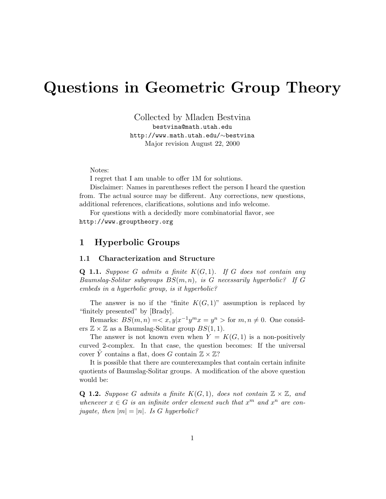# Questions in Geometric Group Theory

Collected by Mladen Bestvina bestvina@math.utah.edu http://www.math.utah.edu/∼bestvina Major revision August 22, 2000

Notes:

I regret that I am unable to offer 1M for solutions.

Disclaimer: Names in parentheses reflect the person I heard the question from. The actual source may be different. Any corrections, new questions, additional references, clarifications, solutions and info welcome.

For questions with a decidedly more combinatorial flavor, see http://www.grouptheory.org

### 1 Hyperbolic Groups

#### 1.1 Characterization and Structure

**Q 1.1.** Suppose G admits a finite  $K(G, 1)$ . If G does not contain any Baumslag-Solitar subgroups  $BS(m, n)$ , is G necessarily hyperbolic? If G embeds in a hyperbolic group, is it hyperbolic?

The answer is no if the "finite  $K(G, 1)$ " assumption is replaced by "finitely presented" by [Brady].

Remarks:  $BS(m, n) = \langle x, y | x^{-1} y^m x = y^n \rangle$  for  $m, n \neq 0$ . One considers  $\mathbb{Z} \times \mathbb{Z}$  as a Baumslag-Solitar group  $BS(1, 1)$ .

The answer is not known even when  $Y = K(G, 1)$  is a non-positively curved 2-complex. In that case, the question becomes: If the universal cover Y contains a flat, does G contain  $\mathbb{Z} \times \mathbb{Z}$ ?

It is possible that there are counterexamples that contain certain infinite quotients of Baumslag-Solitar groups. A modification of the above question would be:

**Q 1.2.** Suppose G admits a finite  $K(G, 1)$ , does not contain  $\mathbb{Z} \times \mathbb{Z}$ , and whenever  $x \in G$  is an infinite order element such that  $x^m$  and  $x^n$  are conjugate, then  $|m| = |n|$ . Is G hyperbolic?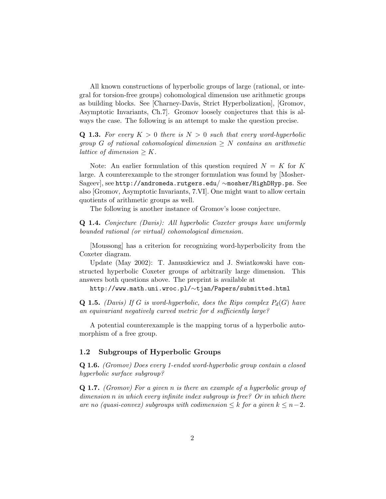All known constructions of hyperbolic groups of large (rational, or integral for torsion-free groups) cohomological dimension use arithmetic groups as building blocks. See [Charney-Davis, Strict Hyperbolization], [Gromov, Asymptotic Invariants, Ch.7]. Gromov loosely conjectures that this is always the case. The following is an attempt to make the question precise.

**Q 1.3.** For every  $K > 0$  there is  $N > 0$  such that every word-hyperbolic group G of rational cohomological dimension  $\geq N$  contains an arithmetic lattice of dimension  $\geq K$ .

Note: An earlier formulation of this question required  $N = K$  for K large. A counterexample to the stronger formulation was found by [Mosher-Sageev], see http://andromeda.rutgers.edu/ ∼mosher/HighDHyp.ps. See also [Gromov, Asymptotic Invariants, 7.VI]. One might want to allow certain quotients of arithmetic groups as well.

The following is another instance of Gromov's loose conjecture.

Q 1.4. Conjecture (Davis): All hyperbolic Coxeter groups have uniformly bounded rational (or virtual) cohomological dimension.

[Moussong] has a criterion for recognizing word-hyperbolicity from the Coxeter diagram.

Update (May 2002): T. Januszkiewicz and J. Swiatkowski have constructed hyperbolic Coxeter groups of arbitrarily large dimension. This answers both questions above. The preprint is available at

http://www.math.uni.wroc.pl/∼tjan/Papers/submitted.html

**Q 1.5.** (Davis) If G is word-hyperbolic, does the Rips complex  $P_d(G)$  have an equivariant negatively curved metric for d sufficiently large?

A potential counterexample is the mapping torus of a hyperbolic automorphism of a free group.

### 1.2 Subgroups of Hyperbolic Groups

Q 1.6. (Gromov) Does every 1-ended word-hyperbolic group contain a closed hyperbolic surface subgroup?

Q 1.7. (Gromov) For a given n is there an example of a hyperbolic group of dimension n in which every infinite index subgroup is free? Or in which there are no (quasi-convex) subgroups with codimension  $\leq k$  for a given  $k \leq n-2$ .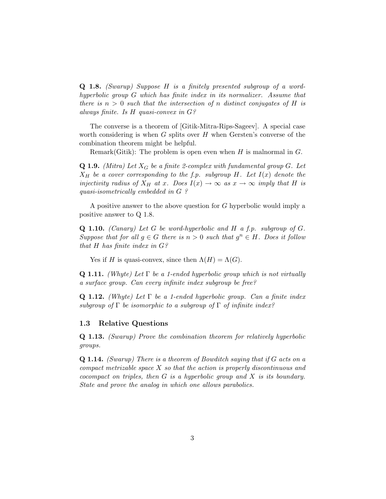Q 1.8. (Swarup) Suppose H is a finitely presented subgroup of a wordhyperbolic group G which has finite index in its normalizer. Assume that there is  $n > 0$  such that the intersection of n distinct conjugates of H is always finite. Is H quasi-convex in G?

The converse is a theorem of [Gitik-Mitra-Rips-Sageev]. A special case worth considering is when  $G$  splits over  $H$  when Gersten's converse of the combination theorem might be helpful.

Remark(Gitik): The problem is open even when  $H$  is malnormal in  $G$ .

**Q 1.9.** (Mitra) Let  $X_G$  be a finite 2-complex with fundamental group G. Let  $X_H$  be a cover corresponding to the f.p. subgroup H. Let  $I(x)$  denote the injectivity radius of  $X_H$  at x. Does  $I(x) \to \infty$  as  $x \to \infty$  imply that H is quasi-isometrically embedded in G ?

A positive answer to the above question for G hyperbolic would imply a positive answer to Q 1.8.

**Q 1.10.** (Canary) Let G be word-hyperbolic and H a f.p. subgroup of  $G$ . Suppose that for all  $g \in G$  there is  $n > 0$  such that  $g^n \in H$ . Does it follow that H has finite index in  $G$ ?

Yes if H is quasi-convex, since then  $\Lambda(H) = \Lambda(G)$ .

**Q 1.11.** (Whyte) Let  $\Gamma$  be a 1-ended hyperbolic group which is not virtually a surface group. Can every infinite index subgroup be free?

**Q 1.12.** (Whyte) Let  $\Gamma$  be a 1-ended hyperbolic group. Can a finite index subgroup of Γ be isomorphic to a subgroup of Γ of infinite index?

#### 1.3 Relative Questions

Q 1.13. (Swarup) Prove the combination theorem for relatively hyperbolic groups.

Q 1.14. (Swarup) There is a theorem of Bowditch saying that if G acts on a compact metrizable space X so that the action is properly discontinuous and cocompact on triples, then  $G$  is a hyperbolic group and  $X$  is its boundary. State and prove the analog in which one allows parabolics.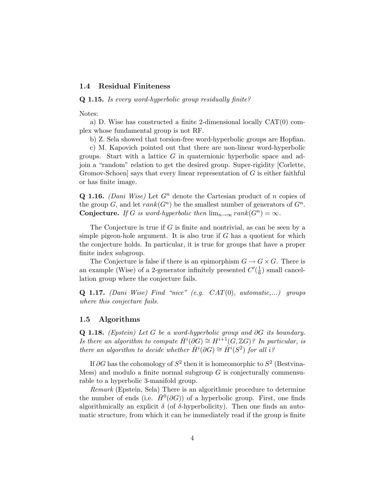### 1.4 Residual Finiteness

Q 1.15. Is every word-hyperbolic group residually finite?

Notes:

a) D. Wise has constructed a finite 2-dimensional locally CAT(0) complex whose fundamental group is not RF.

b) Z. Sela showed that torsion-free word-hyperbolic groups are Hopfian.

c) M. Kapovich pointed out that there are non-linear word-hyperbolic groups. Start with a lattice  $G$  in quaternionic hyperbolic space and adjoin a "random" relation to get the desired group. Super-rigidity [Corlette, Gromov-Schoen] says that every linear representation of  $G$  is either faithful or has finite image.

Q 1.16. (Dani Wise) Let  $G<sup>n</sup>$  denote the Cartesian product of n copies of the group G, and let  $rank(G^n)$  be the smallest number of generators of  $G^n$ . **Conjecture.** If G is word-hyperbolic then  $\lim_{n\to\infty} rank(G^n) = \infty$ .

The Conjecture is true if  $G$  is finite and nontrivial, as can be seen by a simple pigeon-hole argument. It is also true if  $G$  has a quotient for which the conjecture holds. In particular, it is true for groups that have a proper finite index subgroup.

The Conjecture is false if there is an epimorphism  $G \to G \times G$ . There is an example (Wise) of a 2-generator infinitely presented  $C'(\frac{1}{6})$  $\frac{1}{6}$ ) small cancellation group where the conjecture fails.

**Q 1.17.** (Dani Wise) Find "nice" (e.g.  $CAT(0)$ , automatic,...) groups where this conjecture fails.

### 1.5 Algorithms

Q 1.18. (Epstein) Let G be a word-hyperbolic group and ∂G its boundary. Is there an algorithm to compute  $\check{H}^i(\partial G) \cong H^{i+1}(G,\mathbb{Z}G)$ ? In particular, is there an algorithm to decide whether  $\check{H}^i(\partial G) \cong \check{H}^i(S^2)$  for all  $i$ ?

If ∂G has the cohomology of  $S^2$  then it is homeomorphic to  $S^2$  (Bestvina-Mess) and modulo a finite normal subgroup  $G$  is conjecturally commensurable to a hyperbolic 3-manifold group.

Remark (Epstein, Sela) There is an algorithmic procedure to determine the number of ends (i.e.  $\check{H}^0(\partial G)$ ) of a hyperbolic group. First, one finds algorithmically an explicit  $\delta$  (of  $\delta$ -hyperbolicity). Then one finds an automatic structure, from which it can be immediately read if the group is finite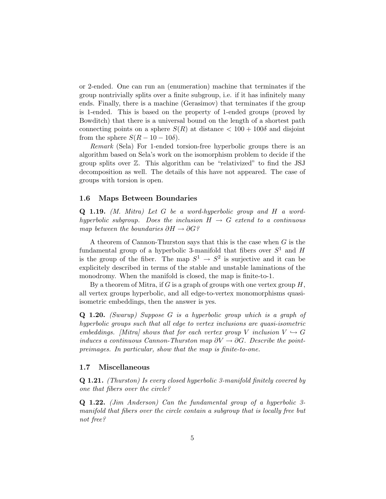or 2-ended. One can run an (enumeration) machine that terminates if the group nontrivially splits over a finite subgroup, i.e. if it has infinitely many ends. Finally, there is a machine (Gerasimov) that terminates if the group is 1-ended. This is based on the property of 1-ended groups (proved by Bowditch) that there is a universal bound on the length of a shortest path connecting points on a sphere  $S(R)$  at distance  $\lt 100 + 100\delta$  and disjoint from the sphere  $S(R - 10 - 10\delta)$ .

Remark (Sela) For 1-ended torsion-free hyperbolic groups there is an algorithm based on Sela's work on the isomorphism problem to decide if the group splits over Z. This algorithm can be "relativized" to find the JSJ decomposition as well. The details of this have not appeared. The case of groups with torsion is open.

#### 1.6 Maps Between Boundaries

Q 1.19. (M. Mitra) Let G be a word-hyperbolic group and H a wordhyperbolic subgroup. Does the inclusion  $H \rightarrow G$  extend to a continuous map between the boundaries  $\partial H \to \partial G$ ?

A theorem of Cannon-Thurston says that this is the case when  $G$  is the fundamental group of a hyperbolic 3-manifold that fibers over  $S^1$  and H is the group of the fiber. The map  $S^1 \to S^2$  is surjective and it can be explicitely described in terms of the stable and unstable laminations of the monodromy. When the manifold is closed, the map is finite-to-1.

By a theorem of Mitra, if  $G$  is a graph of groups with one vertex group  $H$ , all vertex groups hyperbolic, and all edge-to-vertex monomorphisms quasiisometric embeddings, then the answer is yes.

Q 1.20. (Swarup) Suppose G is a hyperbolic group which is a graph of hyperbolic groups such that all edge to vertex inclusions are quasi-isometric embeddings. [Mitra] shows that for each vertex group V inclusion  $V \hookrightarrow G$ induces a continuous Cannon-Thurston map  $\partial V \to \partial G$ . Describe the pointpreimages. In particular, show that the map is finite-to-one.

### 1.7 Miscellaneous

Q 1.21. (Thurston) Is every closed hyperbolic 3-manifold finitely covered by one that fibers over the circle?

Q 1.22. (Jim Anderson) Can the fundamental group of a hyperbolic 3 manifold that fibers over the circle contain a subgroup that is locally free but not free?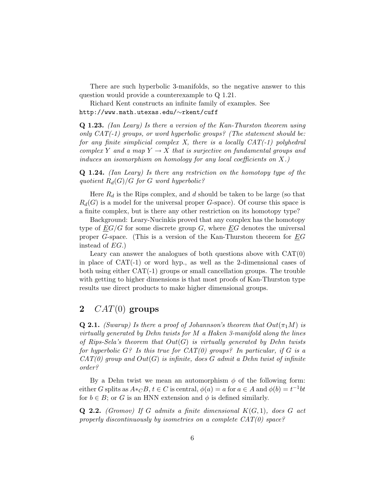There are such hyperbolic 3-manifolds, so the negative answer to this question would provide a counterexample to Q 1.21.

Richard Kent constructs an infinite family of examples. See http://www.math.utexas.edu/∼rkent/cuff

Q 1.23. (Ian Leary) Is there a version of the Kan-Thurston theorem using only  $CAT(-1)$  groups, or word hyperbolic groups? (The statement should be: for any finite simplicial complex X, there is a locally  $CAT(-1)$  polyhedral complex Y and a map  $Y \to X$  that is surjective on fundamental groups and induces an isomorphism on homology for any local coefficients on  $X$ .)

Q 1.24. (Ian Leary) Is there any restriction on the homotopy type of the quotient  $R_d(G)/G$  for G word hyperbolic?

Here  $R_d$  is the Rips complex, and d should be taken to be large (so that  $R_d(G)$  is a model for the universal proper G-space). Of course this space is a finite complex, but is there any other restriction on its homotopy type?

Background: Leary-Nucinkis proved that any complex has the homotopy type of  $EG/G$  for some discrete group G, where  $EG$  denotes the universal proper G-space. (This is a version of the Kan-Thurston theorem for  $EG$ instead of EG.)

Leary can answer the analogues of both questions above with  $CAT(0)$ in place of  $CAT(-1)$  or word hyp., as well as the 2-dimensional cases of both using either  $CAT(-1)$  groups or small cancellation groups. The trouble with getting to higher dimensions is that most proofs of Kan-Thurston type results use direct products to make higher dimensional groups.

# 2  $CAT(0)$  groups

**Q 2.1.** (Swarup) Is there a proof of Johannson's theorem that  $Out(\pi_1 M)$  is virtually generated by Dehn twists for M a Haken 3-manifold along the lines of Rips-Sela's theorem that  $Out(G)$  is virtually generated by Dehn twists for hyperbolic  $G$ ? Is this true for  $CAT(0)$  groups? In particular, if G is a  $CAT(0)$  group and  $Out(G)$  is infinite, does G admit a Dehn twist of infinite order?

By a Dehn twist we mean an automorphism  $\phi$  of the following form: either G splits as  $A *_{\mathbb{C}} B$ ,  $t \in \mathbb{C}$  is central,  $\phi(a) = a$  for  $a \in \mathbb{A}$  and  $\phi(b) = t^{-1}bt$ for  $b \in B$ ; or G is an HNN extension and  $\phi$  is defined similarly.

**Q 2.2.** (Gromov) If G admits a finite dimensional  $K(G, 1)$ , does G act properly discontinuously by isometries on a complete  $CAT(0)$  space?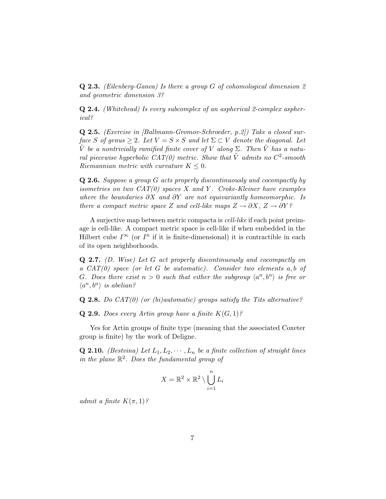**Q 2.3.** (Eilenberg-Ganea) Is there a group  $G$  of cohomological dimension  $2$ and geometric dimension 3?

Q 2.4. (Whitehead) Is every subcomplex of an aspherical 2-complex aspherical?

Q 2.5. (Exercise in [Ballmann-Gromov-Schroeder, p.2]) Take a closed surface S of genus  $\geq 2$ . Let  $V = S \times S$  and let  $\Sigma \subset V$  denote the diagonal. Let  $\tilde{V}$  be a nontrivially ramified finite cover of V along  $\Sigma$ . Then  $\tilde{V}$  has a natural piecewise hyperbolic CAT(0) metric. Show that  $\tilde{V}$  admits no  $C^2$ -smooth Riemannian metric with curvature  $K \leq 0$ .

Q 2.6. Suppose a group G acts properly discontinuously and cocompactly by isometries on two  $CAT(0)$  spaces X and Y. Croke-Kleiner have examples where the boundaries  $\partial X$  and  $\partial Y$  are not equivariantly homeomorphic. Is there a compact metric space Z and cell-like maps  $Z \to \partial X$ ,  $Z \to \partial Y$ ?

A surjective map between metric compacta is cell-like if each point preimage is cell-like. A compact metric space is cell-like if when embedded in the Hilbert cube  $I^{\infty}$  (or  $I^n$  if it is finite-dimensional) it is contractible in each of its open neighborhoods.

Q 2.7. (D. Wise) Let G act properly discontinuously and cocompactly on a  $CAT(0)$  space (or let G be automatic). Consider two elements  $a, b$  of G. Does there exist  $n > 0$  such that either the subgroup  $\langle a^n, b^n \rangle$  is free or  $\langle a^n, b^n \rangle$  is abelian?

**Q 2.8.** Do  $CAT(0)$  (or (bi)automatic) groups satisfy the Tits alternative?

**Q 2.9.** Does every Artin group have a finite  $K(G, 1)$ ?

Yes for Artin groups of finite type (meaning that the associated Coxeter group is finite) by the work of Deligne.

**Q 2.10.** (Bestvina) Let  $L_1, L_2, \cdots, L_n$  be a finite collection of straight lines in the plane  $\mathbb{R}^2$ . Does the fundamental group of

$$
X = \mathbb{R}^2 \times \mathbb{R}^2 \setminus \bigcup_{i=1}^n L_i
$$

admit a finite  $K(\pi,1)$ ?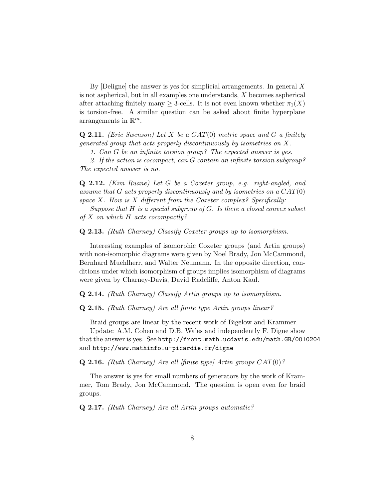By  $[Deligne]$  the answer is yes for simplicial arrangements. In general X is not aspherical, but in all examples one understands, X becomes aspherical after attaching finitely many  $\geq$  3-cells. It is not even known whether  $\pi_1(X)$ is torsion-free. A similar question can be asked about finite hyperplane arrangements in  $\mathbb{R}^m$ .

**Q 2.11.** (Eric Swenson) Let X be a  $CAT(0)$  metric space and G a finitely generated group that acts properly discontinuously by isometries on X.

1. Can G be an infinite torsion group? The expected answer is yes.

2. If the action is cocompact, can G contain an infinite torsion subgroup? The expected answer is no.

Q 2.12. (Kim Ruane) Let G be a Coxeter group, e.g. right-angled, and assume that G acts properly discontinuously and by isometries on a  $CAT(0)$ space  $X$ . How is  $X$  different from the Coxeter complex? Specifically:

Suppose that  $H$  is a special subgroup of  $G$ . Is there a closed convex subset of  $X$  on which  $H$  acts cocompactly?

Q 2.13. (Ruth Charney) Classify Coxeter groups up to isomorphism.

Interesting examples of isomorphic Coxeter groups (and Artin groups) with non-isomorphic diagrams were given by Noel Brady, Jon McCammond, Bernhard Muehlherr, and Walter Neumann. In the opposite direction, conditions under which isomorphism of groups implies isomorphism of diagrams were given by Charney-Davis, David Radcliffe, Anton Kaul.

Q 2.14. (Ruth Charney) Classify Artin groups up to isomorphism.

Q 2.15. (Ruth Charney) Are all finite type Artin groups linear?

Braid groups are linear by the recent work of Bigelow and Krammer.

Update: A.M. Cohen and D.B. Wales and independently F. Digne show that the answer is yes. See http://front.math.ucdavis.edu/math.GR/0010204 and http://www.mathinfo.u-picardie.fr/digne

**Q 2.16.** (Ruth Charney) Are all [finite type] Artin groups  $CAT(0)$ ?

The answer is yes for small numbers of generators by the work of Krammer, Tom Brady, Jon McCammond. The question is open even for braid groups.

Q 2.17. (Ruth Charney) Are all Artin groups automatic?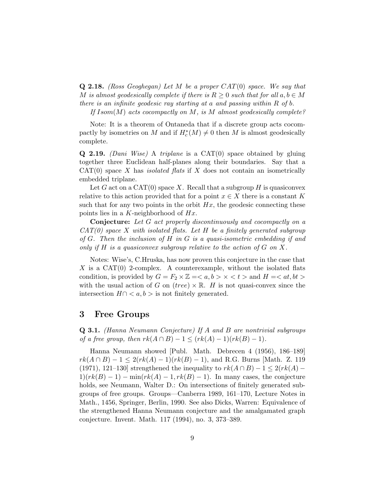**Q 2.18.** (Ross Geoghegan) Let M be a proper  $CAT(0)$  space. We say that M is almost geodesically complete if there is  $R \geq 0$  such that for all  $a, b \in M$ there is an infinite geodesic ray starting at a and passing within  $R$  of  $b$ .

If  $Isom(M)$  acts cocompactly on M, is M almost geodesically complete?

Note: It is a theorem of Ontaneda that if a discrete group acts cocompactly by isometries on M and if  $H_c^*(M) \neq 0$  then M is almost geodesically complete.

**Q 2.19.** (Dani Wise) A triplane is a  $CAT(0)$  space obtained by gluing together three Euclidean half-planes along their boundaries. Say that a  $CAT(0)$  space X has *isolated flats* if X does not contain an isometrically embedded triplane.

Let G act on a  $CAT(0)$  space X. Recall that a subgroup H is quasiconvex relative to this action provided that for a point  $x \in X$  there is a constant K such that for any two points in the orbit  $Hx$ , the geodesic connecting these points lies in a K-neighborhood of  $Hx$ .

Conjecture: Let G act properly discontinuously and cocompactly on a  $CAT(0)$  space X with isolated flats. Let H be a finitely generated subgroup of  $G$ . Then the inclusion of  $H$  in  $G$  is a quasi-isometric embedding if and only if  $H$  is a quasiconvex subgroup relative to the action of  $G$  on  $X$ .

Notes: Wise's, C.Hruska, has now proven this conjecture in the case that X is a  $CAT(0)$  2-complex. A counterexample, without the isolated flats condition, is provided by  $G = F_2 \times \mathbb{Z} = \langle a, b \rangle \times \langle t \rangle$  and  $H = \langle at, bt \rangle$ with the usual action of G on  $(tree) \times \mathbb{R}$ . H is not quasi-convex since the intersection  $H \cap \langle a, b \rangle$  is not finitely generated.

### 3 Free Groups

Q 3.1. (Hanna Neumann Conjecture) If A and B are nontrivial subgroups of a free group, then  $rk(A \cap B) - 1 \leq (rk(A) - 1)(rk(B) - 1)$ .

Hanna Neumann showed [Publ. Math. Debrecen 4 (1956), 186–189]  $rk(A \cap B) - 1 \leq 2(rk(A) - 1)(rk(B) - 1)$ , and R.G. Burns [Math. Z. 119] (1971), 121–130] strengthened the inequality to  $rk(A \cap B) - 1 \leq 2(rk(A) 1)(rk(B) - 1) - \min(rk(A) - 1, rk(B) - 1)$ . In many cases, the conjecture holds, see Neumann, Walter D.: On intersections of finitely generated subgroups of free groups. Groups—Canberra 1989, 161–170, Lecture Notes in Math., 1456, Springer, Berlin, 1990. See also Dicks, Warren: Equivalence of the strengthened Hanna Neumann conjecture and the amalgamated graph conjecture. Invent. Math. 117 (1994), no. 3, 373–389.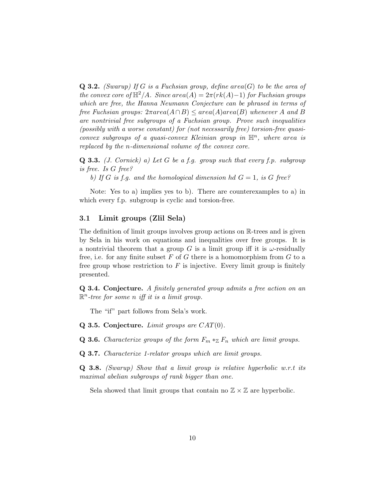**Q 3.2.** (Swarup) If G is a Fuchsian group, define area(G) to be the area of the convex core of  $\mathbb{H}^2/A$ . Since area(A) =  $2\pi(rk(A)-1)$  for Fuchsian groups which are free, the Hanna Neumann Conjecture can be phrased in terms of free Fuchsian groups:  $2\pi area(A \cap B) \leq area(A) area(B)$  whenever A and B are nontrivial free subgroups of a Fuchsian group. Prove such inequalities (possibly with a worse constant) for (not necessarily free) torsion-free quasiconvex subgroups of a quasi-convex Kleinian group in  $\mathbb{H}^n$ , where area is replaced by the n-dimensional volume of the convex core.

**Q 3.3.** (*J. Cornick*) a) Let G be a f.g. group such that every f.p. subgroup is free. Is G free?

b) If G is f.g. and the homological dimension hd  $G = 1$ , is G free?

Note: Yes to a) implies yes to b). There are counterexamples to a) in which every f.p. subgroup is cyclic and torsion-free.

### 3.1 Limit groups (Zlil Sela)

The definition of limit groups involves group actions on R-trees and is given by Sela in his work on equations and inequalities over free groups. It is a nontrivial theorem that a group G is a limit group iff it is  $\omega$ -residually free, i.e. for any finite subset F of G there is a homomorphism from G to a free group whose restriction to  $F$  is injective. Every limit group is finitely presented.

Q 3.4. Conjecture. A finitely generated group admits a free action on an  $\mathbb{R}^n$ -tree for some n iff it is a limit group.

The "if" part follows from Sela's work.

Q 3.5. Conjecture. Limit groups are  $CAT(0)$ .

**Q 3.6.** Characterize groups of the form  $F_m *_{\mathbb{Z}} F_n$  which are limit groups.

Q 3.7. Characterize 1-relator groups which are limit groups.

 $Q$  3.8. (Swarup) Show that a limit group is relative hyperbolic w.r.t its maximal abelian subgroups of rank bigger than one.

Sela showed that limit groups that contain no  $\mathbb{Z} \times \mathbb{Z}$  are hyperbolic.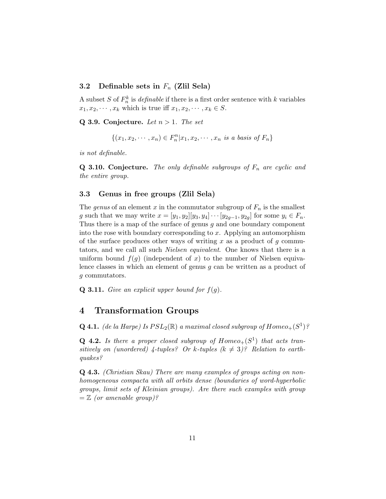### 3.2 Definable sets in  $F_n$  (Zlil Sela)

A subset S of  $F_n^k$  is *definable* if there is a first order sentence with k variables  $x_1, x_2, \cdots, x_k$  which is true iff  $x_1, x_2, \cdots, x_k \in S$ .

Q 3.9. Conjecture. Let  $n > 1$ . The set

$$
\{(x_1, x_2, \cdots, x_n) \in F_n^n | x_1, x_2, \cdots, x_n \text{ is a basis of } F_n\}
$$

is not definable.

**Q 3.10. Conjecture.** The only definable subgroups of  $F_n$  are cyclic and the entire group.

### 3.3 Genus in free groups (Zlil Sela)

The genus of an element x in the commutator subgroup of  $F_n$  is the smallest g such that we may write  $x = [y_1, y_2][y_3, y_4] \cdots [y_{2g-1}, y_{2g}]$  for some  $y_i \in F_n$ . Thus there is a map of the surface of genus g and one boundary component into the rose with boundary corresponding to x. Applying an automorphism of the surface produces other ways of writing x as a product of  $g$  commutators, and we call all such Nielsen equivalent. One knows that there is a uniform bound  $f(q)$  (independent of x) to the number of Nielsen equivalence classes in which an element of genus g can be written as a product of g commutators.

**Q 3.11.** Give an explicit upper bound for  $f(g)$ .

### 4 Transformation Groups

**Q 4.1.** (de la Harpe) Is  $PSL_2(\mathbb{R})$  a maximal closed subgroup of  $Homeo_+(S^1)$ ?

**Q 4.2.** Is there a proper closed subgroup of  $Homeo_+(S^1)$  that acts transitively on (unordered) 4-tuples? Or k-tuples  $(k \neq 3)$ ? Relation to earthquakes?

Q 4.3. (Christian Skau) There are many examples of groups acting on nonhomogeneous compacta with all orbits dense (boundaries of word-hyperbolic groups, limit sets of Kleinian groups). Are there such examples with group  $=\mathbb{Z}$  (or amenable group)?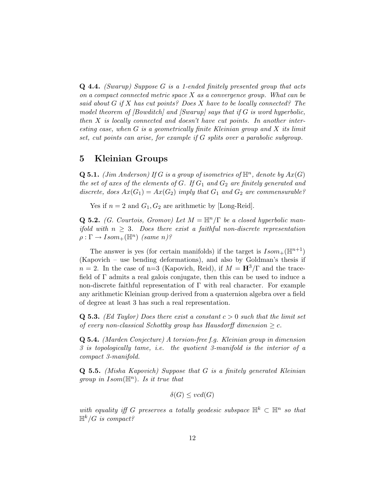Q 4.4. (Swarup) Suppose G is a 1-ended finitely presented group that acts on a compact connected metric space  $X$  as a convergence group. What can be said about  $G$  if  $X$  has cut points? Does  $X$  have to be locally connected? The model theorem of  $\left|$ Bowditch $\right|$  and  $\left|$ Swarup $\right|$  says that if G is word hyperbolic, then  $X$  is locally connected and doesn't have cut points. In another interesting case, when G is a geometrically finite Kleinian group and X its limit set, cut points can arise, for example if G splits over a parabolic subgroup.

# 5 Kleinian Groups

**Q 5.1.** (Jim Anderson) If G is a group of isometries of  $\mathbb{H}^n$ , denote by  $Ax(G)$ the set of axes of the elements of  $G$ . If  $G_1$  and  $G_2$  are finitely generated and discrete, does  $Ax(G_1) = Ax(G_2)$  imply that  $G_1$  and  $G_2$  are commensurable?

Yes if  $n = 2$  and  $G_1, G_2$  are arithmetic by [Long-Reid].

**Q 5.2.** (G. Courtois, Gromov) Let  $M = \mathbb{H}^n/\Gamma$  be a closed hyperbolic manifold with  $n \geq 3$ . Does there exist a faithful non-discrete representation  $\rho : \Gamma \to Isom_+({\mathbb{H}}^n)$  (same n)?

The answer is yes (for certain manifolds) if the target is  $Isom_+(\mathbb{H}^{n+1})$ (Kapovich – use bending deformations), and also by Goldman's thesis if  $n = 2$ . In the case of n=3 (Kapovich, Reid), if  $M = H^3/\Gamma$  and the tracefield of Γ admits a real galois conjugate, then this can be used to induce a non-discrete faithful representation of  $\Gamma$  with real character. For example any arithmetic Kleinian group derived from a quaternion algebra over a field of degree at least 3 has such a real representation.

**Q 5.3.** (Ed Taylor) Does there exist a constant  $c > 0$  such that the limit set of every non-classical Schottky group has Hausdorff dimension  $\geq c$ .

Q 5.4. (Marden Conjecture) A torsion-free f.g. Kleinian group in dimension 3 is topologically tame, i.e. the quotient 3-manifold is the interior of a compact 3-manifold.

Q 5.5. (Misha Kapovich) Suppose that G is a finitely generated Kleinian group in  $Isom(\mathbb{H}^n)$ . Is it true that

$$
\delta(G) \leq vcd(G)
$$

with equality iff G preserves a totally geodesic subspace  $\mathbb{H}^k \subset \mathbb{H}^n$  so that  $\mathbb{H}^k/G$  is compact?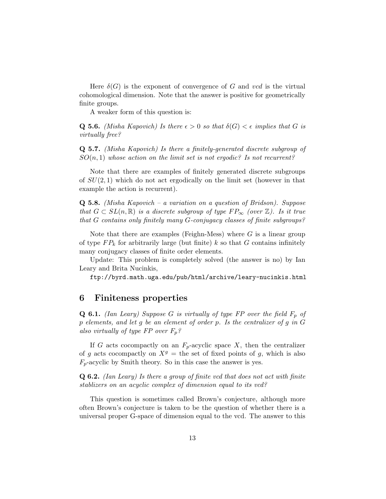Here  $\delta(G)$  is the exponent of convergence of G and vcd is the virtual cohomological dimension. Note that the answer is positive for geometrically finite groups.

A weaker form of this question is:

**Q 5.6.** (Misha Kapovich) Is there  $\epsilon > 0$  so that  $\delta(G) < \epsilon$  implies that G is virtually free?

Q 5.7. (Misha Kapovich) Is there a finitely-generated discrete subgroup of  $SO(n,1)$  whose action on the limit set is not ergodic? Is not recurrent?

Note that there are examples of finitely generated discrete subgroups of  $SU(2,1)$  which do not act ergodically on the limit set (however in that example the action is recurrent).

**Q 5.8.** (Misha Kapovich – a variation on a question of Bridson). Suppose that  $G \subset SL(n,\mathbb{R})$  is a discrete subgroup of type  $FP_{\infty}$  (over  $\mathbb{Z}$ ). Is it true that G contains only finitely many G-conjugacy classes of finite subgroups?

Note that there are examples (Feighn-Mess) where  $G$  is a linear group of type  $FP_k$  for arbitrarily large (but finite) k so that G contains infinitely many conjugacy classes of finite order elements.

Update: This problem is completely solved (the answer is no) by Ian Leary and Brita Nucinkis,

ftp://byrd.math.uga.edu/pub/html/archive/leary-nucinkis.html

### 6 Finiteness properties

**Q 6.1.** (Ian Leary) Suppose G is virtually of type FP over the field  $F_p$  of p elements, and let g be an element of order p. Is the centralizer of g in G also virtually of type FP over  $F_p$ ?

If G acts cocompactly on an  $F_p$ -acyclic space X, then the centralizer of g acts cocompactly on  $X<sup>g</sup>$  = the set of fixed points of g, which is also  $F_p$ -acyclic by Smith theory. So in this case the answer is yes.

Q 6.2. (Ian Leary) Is there a group of finite vcd that does not act with finite stablizers on an acyclic complex of dimension equal to its vcd?

This question is sometimes called Brown's conjecture, although more often Brown's conjecture is taken to be the question of whether there is a universal proper G-space of dimension equal to the vcd. The answer to this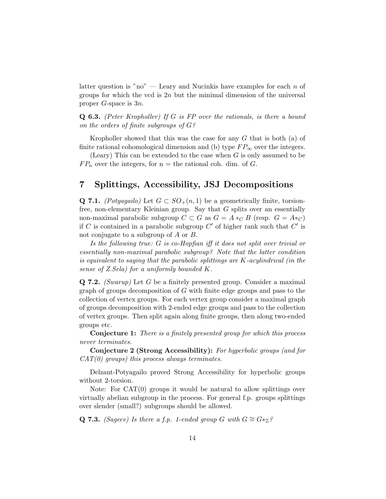latter question is "no" — Leary and Nucinkis have examples for each  $n$  of groups for which the vcd is  $2n$  but the minimal dimension of the universal proper G-space is 3n.

Q 6.3. (Peter Kropholler) If G is FP over the rationals, is there a bound on the orders of finite subgroups of G?

Kropholler showed that this was the case for any  $G$  that is both  $(a)$  of finite rational cohomological dimension and (b) type  $FP_{\infty}$  over the integers.

(Leary) This can be extended to the case when  $G$  is only assumed to be  $FP_n$  over the integers, for n = the rational coh. dim. of G.

# 7 Splittings, Accessibility, JSJ Decompositions

Q 7.1. (Potyagailo) Let  $G \subset SO_+(n,1)$  be a geometrically finite, torsionfree, non-elementary Kleinian group. Say that G splits over an essentially non-maximal parabolic subgroup  $C \subset G$  as  $G = A *_{C} B$  (resp.  $G = A *_{C}$ ) if C is contained in a parabolic subgroup  $C'$  of higher rank such that  $C'$  is not conjugate to a subgroup of A or B.

Is the following true: G is co-Hopfian iff it does not split over trivial or essentially non-maximal parabolic subgroup? Note that the latter condition is equivalent to saying that the parabolic splittings are K-acylindrical (in the sense of Z.Sela) for a uniformly bounded K.

 $Q$  7.2. (Swarup) Let G be a finitely presented group. Consider a maximal graph of groups decomposition of G with finite edge groups and pass to the collection of vertex groups. For each vertex group consider a maximal graph of groups decomposition with 2-ended edge groups and pass to the collection of vertex groups. Then split again along finite groups, then along two-ended groups etc.

Conjecture 1: There is a finitely presented group for which this process never terminates.

Conjecture 2 (Strong Accessibility): For hyperbolic groups (and for  $CAT(0)$  groups) this process always terminates.

Delzant-Potyagailo proved Strong Accessibility for hyperbolic groups without 2-torsion.

Note: For CAT(0) groups it would be natural to allow splittings over virtually abelian subgroup in the process. For general f.p. groups splittings over slender (small?) subgroups should be allowed.

Q 7.3. (Sageev) Is there a f.p. 1-ended group G with  $G \cong G *_{\mathbb{Z}} ?$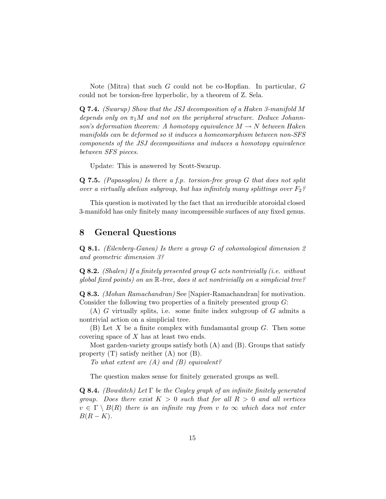Note (Mitra) that such G could not be co-Hopfian. In particular, G could not be torsion-free hyperbolic, by a theorem of Z. Sela.

Q 7.4. (Swarup) Show that the JSJ decomposition of a Haken 3-manifold M depends only on  $\pi_1 M$  and not on the peripheral structure. Deduce Johannson's deformation theorem: A homotopy equivalence  $M \to N$  between Haken manifolds can be deformed so it induces a homeomorphism between non-SFS components of the JSJ decompositions and induces a homotopy equivalence between SFS pieces.

Update: This is answered by Scott-Swarup.

**Q 7.5.** (Papasoglou) Is there a f.p. torsion-free group  $G$  that does not split over a virtually abelian subgroup, but has infinitely many splittings over  $F_2$ ?

This question is motivated by the fact that an irreducible atoroidal closed 3-manifold has only finitely many incompressible surfaces of any fixed genus.

### 8 General Questions

Q 8.1. (Eilenberg-Ganea) Is there a group G of cohomological dimension 2 and geometric dimension 3?

**Q 8.2.** (Shalen) If a finitely presented group  $G$  acts nontrivially (i.e. without global fixed points) on an R-tree, does it act nontrivially on a simplicial tree?

Q 8.3. (Mohan Ramachandran) See [Napier-Ramachandran] for motivation. Consider the following two properties of a finitely presented group G:

 $(A)$  G virtually splits, i.e. some finite index subgroup of G admits a nontrivial action on a simplicial tree.

 $(B)$  Let X be a finite complex with fundamantal group G. Then some covering space of X has at least two ends.

Most garden-variety groups satisfy both  $(A)$  and  $(B)$ . Groups that satisfy property  $(T)$  satisfy neither  $(A)$  nor  $(B)$ .

To what extent are  $(A)$  and  $(B)$  equivalent?

The question makes sense for finitely generated groups as well.

**Q 8.4.** (Bowditch) Let  $\Gamma$  be the Cayley graph of an infinite finitely generated group. Does there exist  $K > 0$  such that for all  $R > 0$  and all vertices  $v \in \Gamma \setminus B(R)$  there is an infinite ray from v to  $\infty$  which does not enter  $B(R - K)$ .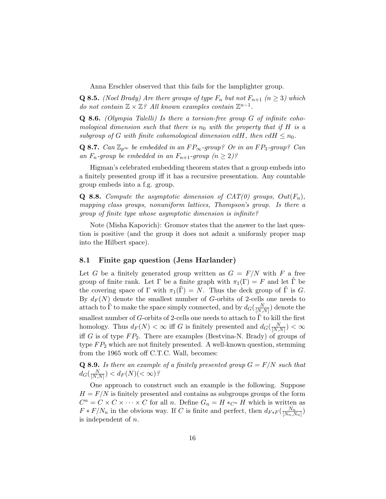Anna Erschler observed that this fails for the lamplighter group.

**Q 8.5.** (Noel Brady) Are there groups of type  $F_n$  but not  $F_{n+1}$   $(n \geq 3)$  which do not contain  $\mathbb{Z} \times \mathbb{Z}$ ? All known examples contain  $\mathbb{Z}^{n-1}$ .

**Q 8.6.** (Olympia Talelli) Is there a torsion-free group  $G$  of infinite cohomological dimension such that there is  $n_0$  with the property that if H is a subgroup of G with finite cohomological dimension cdH, then  $cdH \leq n_0$ .

Q 8.7. Can  $\mathbb{Z}_{p^{\infty}}$  be embedded in an  $FP_{\infty}$ -group? Or in an  $FP_3$ -group? Can an  $F_n$ -group be embedded in an  $F_{n+1}$ -group  $(n \geq 2)$ ?

Higman's celebrated embedding theorem states that a group embeds into a finitely presented group iff it has a recursive presentation. Any countable group embeds into a f.g. group.

**Q 8.8.** Compute the asymptotic dimension of  $CAT(0)$  groups,  $Out(F_n)$ , mapping class groups, nonuniform lattices, Thompson's group. Is there a group of finite type whose asymptotic dimension is infinite?

Note (Misha Kapovich): Gromov states that the answer to the last question is positive (and the group it does not admit a uniformly proper map into the Hilbert space).

### 8.1 Finite gap question (Jens Harlander)

Let G be a finitely generated group written as  $G = F/N$  with F a free group of finite rank. Let  $\Gamma$  be a finite graph with  $\pi_1(\Gamma) = F$  and let  $\tilde{\Gamma}$  be the covering space of  $\Gamma$  with  $\pi_1(\Gamma) = N$ . Thus the deck group of  $\Gamma$  is G. By  $d_F(N)$  denote the smallest number of G-orbits of 2-cells one needs to attach to  $\tilde{\Gamma}$  to make the space simply connected, and by  $d_G(\frac{N}{|N|})$  $\frac{N}{[N,N]}$  denote the smallest number of G-orbits of 2-cells one needs to attach to  $\Gamma$  to kill the first homology. Thus  $d_F(N) < \infty$  iff G is finitely presented and  $d_G(\frac{N}{|N|})$  $\frac{N}{[N,N]}$ )  $<\infty$ iff  $G$  is of type  $FP_2$ . There are examples (Bestvina-N. Brady) of groups of type  $FP_2$  which are not finitely presented. A well-known question, stemming from the 1965 work off C.T.C. Wall, becomes:

**Q 8.9.** Is there an example of a finitely presented group  $G = F/N$  such that  $d_G(\frac{N}{\lceil N\rfloor})$  $\frac{N}{[N,N]}$ ) <  $d_F(N)$ (<  $\infty$ )?

One approach to construct such an example is the following. Suppose  $H = F/N$  is finitely presented and contains as subgroups groups of the form  $C^n = C \times C \times \cdots \times C$  for all *n*. Define  $G_n = H *_{C^n} H$  which is written as  $F * F/N_n$  in the obvious way. If C is finite and perfect, then  $d_{F * F}(\frac{N_n}{|N_n|})$  $\frac{N_n}{[N_n,N_n]}$ is independent of n.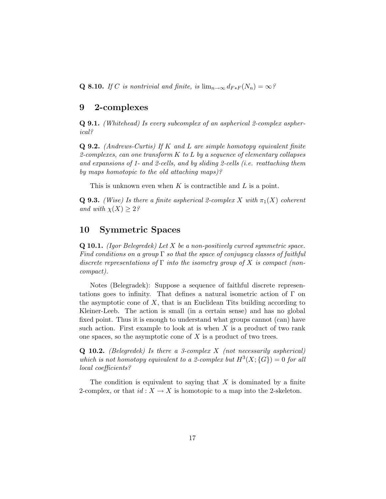Q 8.10. If C is nontrivial and finite, is  $\lim_{n\to\infty} d_{F*F}(N_n) = \infty$ ?

### 9 2-complexes

Q 9.1. (Whitehead) Is every subcomplex of an aspherical 2-complex aspherical?

Q 9.2. (Andrews-Curtis) If K and L are simple homotopy equivalent finite 2-complexes, can one transform  $K$  to  $L$  by a sequence of elementary collapses and expansions of 1- and 2-cells, and by sliding 2-cells (i.e. reattaching them by maps homotopic to the old attaching maps)?

This is unknown even when K is contractible and L is a point.

**Q 9.3.** (Wise) Is there a finite aspherical 2-complex X with  $\pi_1(X)$  coherent and with  $\chi(X) \geq 2$ ?

# 10 Symmetric Spaces

**Q 10.1.** (Igor Belegredek) Let  $X$  be a non-positively curved symmetric space. Find conditions on a group  $\Gamma$  so that the space of conjugacy classes of faithful discrete representations of  $\Gamma$  into the isometry group of X is compact (noncompact).

Notes (Belegradek): Suppose a sequence of faithful discrete representations goes to infinity. That defines a natural isometric action of Γ on the asymptotic cone of  $X$ , that is an Euclidean Tits building according to Kleiner-Leeb. The action is small (in a certain sense) and has no global fixed point. Thus it is enough to understand what groups cannot (can) have such action. First example to look at is when  $X$  is a product of two rank one spaces, so the asymptotic cone of  $X$  is a product of two trees.

**Q 10.2.** (Belegredek) Is there a 3-complex  $X$  (not necessarily aspherical) which is not homotopy equivalent to a 2-complex but  $H^3(X; {\{G\}}) = 0$  for all local coefficients?

The condition is equivalent to saying that  $X$  is dominated by a finite 2-complex, or that  $id: X \to X$  is homotopic to a map into the 2-skeleton.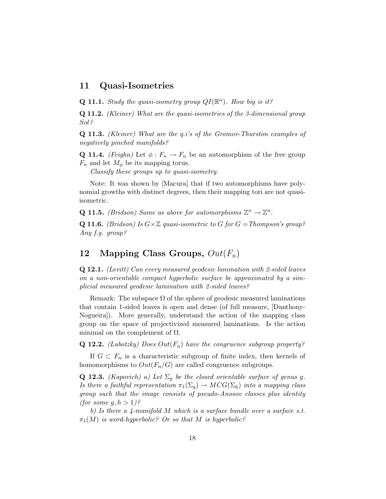## 11 Quasi-Isometries

**Q 11.1.** Study the quasi-isometry group  $QI(\mathbb{R}^n)$ . How big is it?

Q 11.2. (Kleiner) What are the quasi-isometries of the 3-dimensional group Sol?

Q 11.3. (Kleiner) What are the q.i's of the Gromov-Thurston examples of negatively pinched manifolds?

**Q 11.4.** (Feighn) Let  $\phi: F_n \to F_n$  be an automorphism of the free group  $F_n$  and let  $M_\phi$  be its mapping torus.

Classify these groups up to quasi-isometry.

Note: It was shown by [Macura] that if two automorphisms have polynomial growths with distinct degrees, then their mapping tori are not quasiisometric.

**Q 11.5.** (Bridson) Same as above for automorphisms  $\mathbb{Z}^n \to \mathbb{Z}^n$ .

**Q 11.6.** (Bridson) Is  $G \times \mathbb{Z}$  quasi-isometric to G for  $G = Thompson's$  group? Any f.g. group?

# 12 Mapping Class Groups,  $Out(F_n)$

Q 12.1. (Levitt) Can every measured geodesic lamination with 2-sided leaves on a non-orientable compact hyperbolic surface be approximated by a simplicial measured geodesic lamination with 2-sided leaves?

Remark: The subspace  $\Omega$  of the sphere of geodesic measured laminations that contain 1-sided leaves is open and dense (of full measure, [Danthony-Nogueira]). More generally, understand the action of the mapping class group on the space of projectivized measured laminations. Is the action minimal on the complement of  $\Omega$ .

**Q 12.2.** (Lubotzky) Does Out $(F_n)$  have the congruence subgroup property?

If  $G \subset F_n$  is a characteristic subgroup of finite index, then kernels of homomorphisms to  $Out(F_n/G)$  are called congruence subgroups.

**Q 12.3.** (Kapovich) a) Let  $\Sigma_g$  be the closed orientable surface of genus g. Is there a faithful representation  $\pi_1(\Sigma_g) \to MCG(\Sigma_h)$  into a mapping class group such that the image consists of pseudo-Anosov classes plus identity *(for some g, h > 1)?* 

b) Is there a  $\Delta$ -manifold M which is a surface bundle over a surface s.t.  $\pi_1(M)$  is word-hyperbolic? Or so that M is hyperbolic?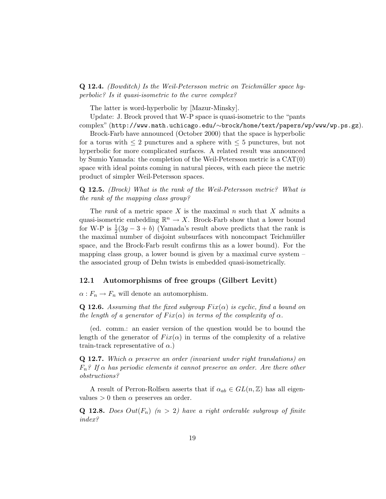### Q 12.4. (Bowditch) Is the Weil-Petersson metric on Teichmüller space hyperbolic? Is it quasi-isometric to the curve complex?

The latter is word-hyperbolic by [Mazur-Minsky].

Update: J. Brock proved that W-P space is quasi-isometric to the "pants

complex" (http://www.math.uchicago.edu/∼brock/home/text/papers/wp/www/wp.ps.gz).

Brock-Farb have announced (October 2000) that the space is hyperbolic for a torus with  $\leq 2$  punctures and a sphere with  $\leq 5$  punctures, but not hyperbolic for more complicated surfaces. A related result was announced by Sumio Yamada: the completion of the Weil-Petersson metric is a CAT(0) space with ideal points coming in natural pieces, with each piece the metric product of simpler Weil-Petersson spaces.

Q 12.5. (Brock) What is the rank of the Weil-Petersson metric? What is the rank of the mapping class group?

The *rank* of a metric space X is the maximal n such that X admits a quasi-isometric embedding  $\mathbb{R}^n \to X$ . Brock-Farb show that a lower bound for W-P is  $\frac{1}{2}(3g - 3 + b)$  (Yamada's result above predicts that the rank is the maximal number of disjoint subsurfaces with noncompact Teichmüller space, and the Brock-Farb result confirms this as a lower bound). For the mapping class group, a lower bound is given by a maximal curve system  $$ the associated group of Dehn twists is embedded quasi-isometrically.

### 12.1 Automorphisms of free groups (Gilbert Levitt)

 $\alpha: F_n \to F_n$  will denote an automorphism.

**Q 12.6.** Assuming that the fixed subgroup  $Fix(\alpha)$  is cyclic, find a bound on the length of a generator of  $Fix(\alpha)$  in terms of the complexity of  $\alpha$ .

(ed. comm.: an easier version of the question would be to bound the length of the generator of  $Fix(\alpha)$  in terms of the complexity of a relative train-track representative of  $\alpha$ .)

**Q 12.7.** Which  $\alpha$  preserve an order (invariant under right translations) on  $F_n$ ? If  $\alpha$  has periodic elements it cannot preserve an order. Are there other obstructions?

A result of Perron-Rolfsen asserts that if  $\alpha_{ab} \in GL(n, \mathbb{Z})$  has all eigenvalues  $> 0$  then  $\alpha$  preserves an order.

**Q 12.8.** Does  $Out(F_n)$   $(n > 2)$  have a right orderable subgroup of finite index?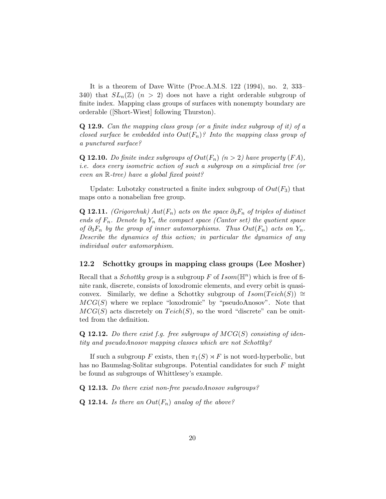It is a theorem of Dave Witte (Proc.A.M.S. 122 (1994), no. 2, 333– 340) that  $SL_n(\mathbb{Z})$   $(n > 2)$  does not have a right orderable subgroup of finite index. Mapping class groups of surfaces with nonempty boundary are orderable ([Short-Wiest] following Thurston).

Q 12.9. Can the mapping class group (or a finite index subgroup of it) of a closed surface be embedded into  $Out(F_n)$ ? Into the mapping class group of a punctured surface?

**Q 12.10.** Do finite index subgroups of  $Out(F_n)$   $(n > 2)$  have property  $(FA)$ , i.e. does every isometric action of such a subgroup on a simplicial tree (or even an R-tree) have a global fixed point?

Update: Lubotzky constructed a finite index subgroup of  $Out(F_3)$  that maps onto a nonabelian free group.

Q 12.11. (Grigorchuk)  $Aut(F_n)$  acts on the space  $\partial_3 F_n$  of triples of distinct ends of  $F_n$ . Denote by  $Y_n$  the compact space (Cantor set) the quotient space of  $\partial_3 F_n$  by the group of inner automorphisms. Thus  $Out(F_n)$  acts on  $Y_n$ . Describe the dynamics of this action; in particular the dynamics of any individual outer automorphism.

### 12.2 Schottky groups in mapping class groups (Lee Mosher)

Recall that a *Schottky group* is a subgroup F of  $Isom(\mathbb{H}^n)$  which is free of finite rank, discrete, consists of loxodromic elements, and every orbit is quasiconvex. Similarly, we define a Schottky subgroup of  $Isom(Teech(S)) \cong$  $MCG(S)$  where we replace "loxodromic" by "pseudoAnosov". Note that  $MCG(S)$  acts discretely on  $Teich(S)$ , so the word "discrete" can be omitted from the definition.

**Q 12.12.** Do there exist f.g. free subgroups of  $MCG(S)$  consisting of identity and pseudoAnosov mapping classes which are not Schottky?

If such a subgroup F exists, then  $\pi_1(S) \rtimes F$  is not word-hyperbolic, but has no Baumslag-Solitar subgroups. Potential candidates for such F might be found as subgroups of Whittlesey's example.

Q 12.13. Do there exist non-free pseudoAnosov subgroups?

**Q 12.14.** Is there an  $Out(F_n)$  analog of the above?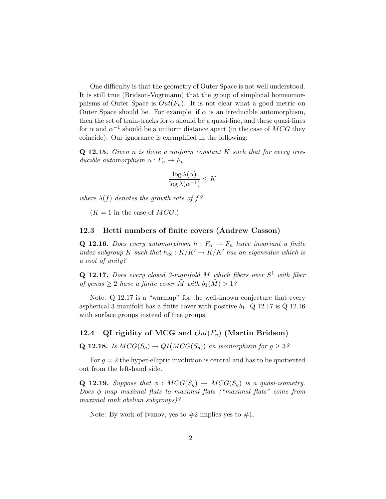One difficulty is that the geometry of Outer Space is not well understood. It is still true (Bridson-Vogtmann) that the group of simplicial homeomorphisms of Outer Space is  $Out(F_n)$ . It is not clear what a good metric on Outer Space should be. For example, if  $\alpha$  is an irreducible automorphism, then the set of train-tracks for  $\alpha$  should be a quasi-line, and these quasi-lines for  $\alpha$  and  $\alpha^{-1}$  should be a uniform distance apart (in the case of  $MCG$  they coincide). Our ignorance is exemplified in the following:

**Q 12.15.** Given n is there a uniform constant  $K$  such that for every irreducible automorphism  $\alpha : F_n \to F_n$ 

$$
\frac{\log \lambda(\alpha)}{\log \lambda(\alpha^{-1})} \le K
$$

where  $\lambda(f)$  denotes the growth rate of f?

 $(K = 1$  in the case of  $MCG$ .)

#### 12.3 Betti numbers of finite covers (Andrew Casson)

**Q 12.16.** Does every automorphism  $h : F_n \to F_n$  leave invariant a finite index subgroup K such that  $h_{ab}: K/K' \to K/K'$  has an eigenvalue which is a root of unity?

**Q 12.17.** Does every closed 3-manifold M which fibers over  $S^1$  with fiber of genus  $\geq 2$  have a finite cover M with  $b_1(M) > 1$ ?

Note: Q 12.17 is a "warmup" for the well-known conjecture that every aspherical 3-manifold has a finite cover with positive  $b_1$ . Q 12.17 is Q 12.16 with surface groups instead of free groups.

### 12.4 QI rigidity of MCG and  $Out(F_n)$  (Martin Bridson)

**Q 12.18.** Is  $MCG(S_q) \rightarrow QI(MCG(S_q))$  an isomorphism for  $g \geq 3$ ?

For  $g = 2$  the hyper-elliptic involution is central and has to be quotiented out from the left-hand side.

**Q 12.19.** Suppose that  $\phi : MCG(S_q) \rightarrow MCG(S_q)$  is a quasi-isometry. Does  $\phi$  map maximal flats to maximal flats ("maximal flats" come from maximal rank abelian subgroups)?

Note: By work of Ivanov, yes to  $#2$  implies yes to  $#1$ .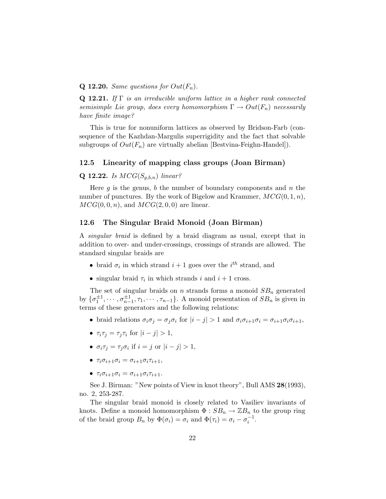### **Q 12.20.** Same questions for  $Out(F_n)$ .

**Q 12.21.** If  $\Gamma$  is an irreducible uniform lattice in a higher rank connected semisimple Lie group, does every homomorphism  $\Gamma \to Out(F_n)$  necessarily have finite image?

This is true for nonuniform lattices as observed by Bridson-Farb (consequence of the Kazhdan-Margulis superrigidity and the fact that solvable subgroups of  $Out(F_n)$  are virtually abelian [Bestvina-Feighn-Handel]).

### 12.5 Linearity of mapping class groups (Joan Birman)

### **Q 12.22.** Is  $MCG(S_{q,b,n})$  linear?

Here q is the genus, b the number of boundary components and  $n$  the number of punctures. By the work of Bigelow and Krammer,  $MCG(0, 1, n)$ ,  $MCG(0, 0, n)$ , and  $MCG(2, 0, 0)$  are linear.

### 12.6 The Singular Braid Monoid (Joan Birman)

A singular braid is defined by a braid diagram as usual, except that in addition to over- and under-crossings, crossings of strands are allowed. The standard singular braids are

- braid  $\sigma_i$  in which strand  $i+1$  goes over the  $i^{th}$  strand, and
- singular braid  $\tau_i$  in which strands i and  $i + 1$  cross.

The set of singular braids on n strands forms a monoid  $SB_n$  generated by  $\{\sigma_1^{\pm 1}, \cdots, \sigma_{n-1}^{\pm 1}, \tau_1, \cdots, \tau_{n-1}\}$ . A monoid presentation of  $SB_n$  is given in terms of these generators and the following relations:

- braid relations  $\sigma_i \sigma_j = \sigma_j \sigma_i$  for  $|i j| > 1$  and  $\sigma_i \sigma_{i+1} \sigma_i = \sigma_{i+1} \sigma_i \sigma_{i+1}$ ,
- $\tau_i \tau_j = \tau_j \tau_i$  for  $|i j| > 1$ ,
- $\sigma_i \tau_j = \tau_j \sigma_i$  if  $i = j$  or  $|i j| > 1$ ,
- $\tau_i \sigma_{i+1} \sigma_i = \sigma_{i+1} \sigma_i \tau_{i+1},$
- $\tau_i \sigma_{i+1} \sigma_i = \sigma_{i+1} \sigma_i \tau_{i+1}$ .

See J. Birman: "New points of View in knot theory", Bull AMS 28(1993), no. 2, 253-287.

The singular braid monoid is closely related to Vasiliev invariants of knots. Define a monoid homomorphism  $\Phi : SB_n \to \mathbb{Z}B_n$  to the group ring of the braid group  $B_n$  by  $\Phi(\sigma_i) = \sigma_i$  and  $\Phi(\tau_i) = \sigma_i - \sigma_i^{-1}$ .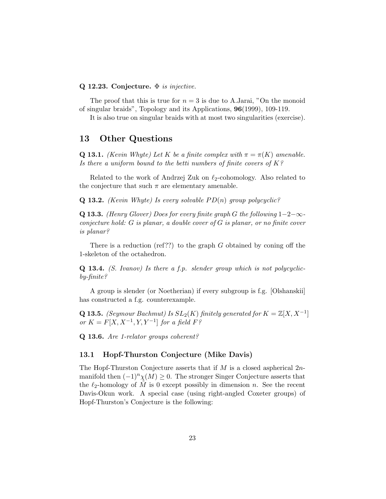### Q 12.23. Conjecture.  $\Phi$  is injective.

The proof that this is true for  $n = 3$  is due to A.Jarai, "On the monoid" of singular braids", Topology and its Applications, 96(1999), 109-119.

It is also true on singular braids with at most two singularities (exercise).

### 13 Other Questions

**Q 13.1.** (Kevin Whyte) Let K be a finite complex with  $\pi = \pi(K)$  amenable. Is there a uniform bound to the betti numbers of finite covers of  $K$ ?

Related to the work of Andrzej Zuk on  $\ell_2$ -cohomology. Also related to the conjecture that such  $\pi$  are elementary amenable.

**Q 13.2.** (Kevin Whyte) Is every solvable  $PD(n)$  group polycyclic?

Q 13.3. (Henry Glover) Does for every finite graph G the following  $1-2-\infty$ conjecture hold: G is planar, a double cover of G is planar, or no finite cover is planar?

There is a reduction (ref??) to the graph  $G$  obtained by coning off the 1-skeleton of the octahedron.

Q 13.4. (S. Ivanov) Is there a f.p. slender group which is not polycyclicby-finite?

A group is slender (or Noetherian) if every subgroup is f.g. [Olshanskii] has constructed a f.g. counterexample.

**Q 13.5.** (Seymour Bachmut) Is  $SL_2(K)$  finitely generated for  $K = \mathbb{Z}[X, X^{-1}]$ or  $K = F[X, X^{-1}, Y, Y^{-1}]$  for a field  $F$ ?

Q 13.6. Are 1-relator groups coherent?

### 13.1 Hopf-Thurston Conjecture (Mike Davis)

The Hopf-Thurston Conjecture asserts that if M is a closed aspherical  $2n$ manifold then  $(-1)^n \chi(M) \geq 0$ . The stronger Singer Conjecture asserts that the  $\ell_2$ -homology of M is 0 except possibly in dimension n. See the recent Davis-Okun work. A special case (using right-angled Coxeter groups) of Hopf-Thurston's Conjecture is the following: